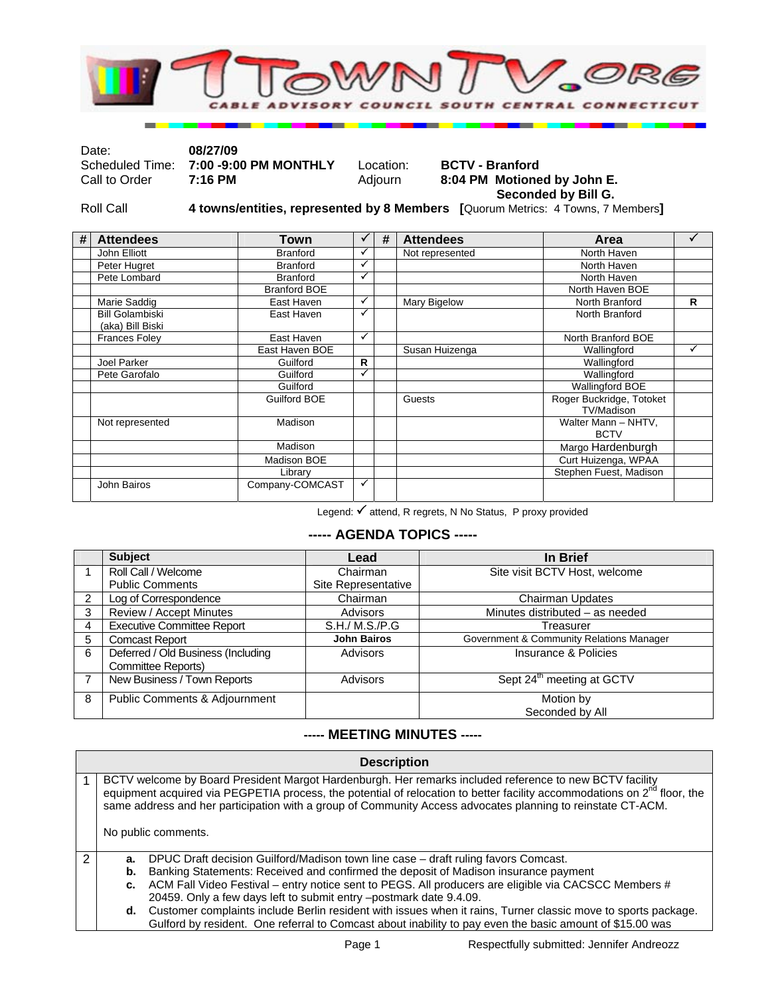

| Date:         | 08/27/09                              |           |                             |
|---------------|---------------------------------------|-----------|-----------------------------|
|               | Scheduled Time: 7:00 -9:00 PM MONTHLY | Location: | <b>BCTV - Branford</b>      |
| Call to Order | 7:16 PM                               | Adiourn   | 8:04 PM Motioned by John E. |
|               |                                       |           | Seconded by Bill G.         |

Roll Call **4 towns/entities, represented by 8 Members [**Quorum Metrics: 4 Towns, 7 Members**]** 

| # | <b>Attendees</b>                           | Town                |    | # | <b>Attendees</b> | Area                                   |   |
|---|--------------------------------------------|---------------------|----|---|------------------|----------------------------------------|---|
|   | John Elliott                               | <b>Branford</b>     |    |   | Not represented  | North Haven                            |   |
|   | Peter Hugret                               | <b>Branford</b>     |    |   |                  | North Haven                            |   |
|   | Pete Lombard                               | <b>Branford</b>     | ✓  |   |                  | North Haven                            |   |
|   |                                            | <b>Branford BOE</b> |    |   |                  | North Haven BOE                        |   |
|   | Marie Saddig                               | East Haven          | ✓  |   | Mary Bigelow     | North Branford                         | R |
|   | <b>Bill Golambiski</b><br>(aka) Bill Biski | East Haven          | ✓  |   |                  | North Branford                         |   |
|   | <b>Frances Foley</b>                       | East Haven          | ✓  |   |                  | North Branford BOE                     |   |
|   |                                            | East Haven BOE      |    |   | Susan Huizenga   | Wallingford                            | ✓ |
|   | Joel Parker                                | Guilford            | R. |   |                  | Wallingford                            |   |
|   | Pete Garofalo                              | Guilford            |    |   |                  | Wallingford                            |   |
|   |                                            | Guilford            |    |   |                  | <b>Wallingford BOE</b>                 |   |
|   |                                            | Guilford BOE        |    |   | Guests           | Roger Buckridge, Totoket<br>TV/Madison |   |
|   | Not represented                            | Madison             |    |   |                  | Walter Mann - NHTV,<br><b>BCTV</b>     |   |
|   |                                            | Madison             |    |   |                  | Margo Hardenburgh                      |   |
|   |                                            | Madison BOE         |    |   |                  | Curt Huizenga, WPAA                    |   |
|   |                                            | Library             |    |   |                  | Stephen Fuest, Madison                 |   |
|   | John Bairos                                | Company-COMCAST     | ✓  |   |                  |                                        |   |

Legend:  $\checkmark$  attend, R regrets, N No Status, P proxy provided

## **----- AGENDA TOPICS -----**

|                | <b>Subject</b>                     | Lead                | In Brief                                 |
|----------------|------------------------------------|---------------------|------------------------------------------|
|                | Roll Call / Welcome                | Chairman            | Site visit BCTV Host, welcome            |
|                | <b>Public Comments</b>             | Site Representative |                                          |
| $\overline{2}$ | Log of Correspondence              | Chairman            | <b>Chairman Updates</b>                  |
| 3              | Review / Accept Minutes            | Advisors            | Minutes distributed - as needed          |
| $\overline{4}$ | <b>Executive Committee Report</b>  | S.H./ M.S./P.G      | Treasurer                                |
| 5              | <b>Comcast Report</b>              | <b>John Bairos</b>  | Government & Community Relations Manager |
| 6              | Deferred / Old Business (Including | Advisors            | Insurance & Policies                     |
|                | Committee Reports)                 |                     |                                          |
|                | New Business / Town Reports        | Advisors            | Sept 24 <sup>th</sup> meeting at GCTV    |
| 8              | Public Comments & Adjournment      |                     | Motion by                                |
|                |                                    |                     | Seconded by All                          |

## **----- MEETING MINUTES -----**

| <b>Description</b>                                                                                                                                                                                                                                                                                                                                                             |  |  |  |  |  |
|--------------------------------------------------------------------------------------------------------------------------------------------------------------------------------------------------------------------------------------------------------------------------------------------------------------------------------------------------------------------------------|--|--|--|--|--|
| BCTV welcome by Board President Margot Hardenburgh. Her remarks included reference to new BCTV facility<br>equipment acquired via PEGPETIA process, the potential of relocation to better facility accommodations on $2^{nd}$ floor, the<br>same address and her participation with a group of Community Access advocates planning to reinstate CT-ACM.<br>No public comments. |  |  |  |  |  |
| DPUC Draft decision Guilford/Madison town line case - draft ruling favors Comcast.<br>а.                                                                                                                                                                                                                                                                                       |  |  |  |  |  |
| Banking Statements: Received and confirmed the deposit of Madison insurance payment<br>b.                                                                                                                                                                                                                                                                                      |  |  |  |  |  |
| ACM Fall Video Festival – entry notice sent to PEGS. All producers are eligible via CACSCC Members #<br>c.                                                                                                                                                                                                                                                                     |  |  |  |  |  |
| 20459. Only a few days left to submit entry -postmark date 9.4.09.                                                                                                                                                                                                                                                                                                             |  |  |  |  |  |
| d. Customer complaints include Berlin resident with issues when it rains, Turner classic move to sports package.                                                                                                                                                                                                                                                               |  |  |  |  |  |
| Gulford by resident. One referral to Comcast about inability to pay even the basic amount of \$15.00 was                                                                                                                                                                                                                                                                       |  |  |  |  |  |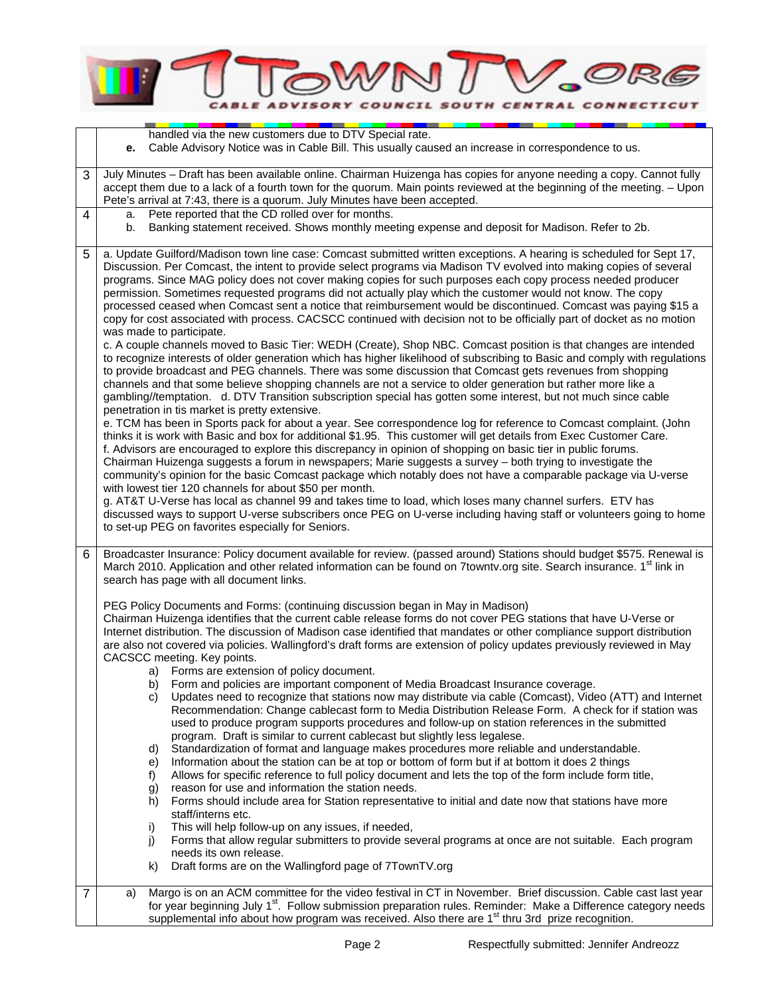

|                | handled via the new customers due to DTV Special rate.<br>Cable Advisory Notice was in Cable Bill. This usually caused an increase in correspondence to us.<br>е.                                                                                                                                                                                                                                                                                                                                                                                                                                                                                                                                                                                                                                                                                                                                                                                                                                                                                                                                                                                                                                                                                                                                                                                                                                                                                                                                                                                                                                                                                                                                                                                                                                                                                                                                                                                                                                                                                                                                                                                                                                                                                                                                                                                         |  |  |  |  |
|----------------|-----------------------------------------------------------------------------------------------------------------------------------------------------------------------------------------------------------------------------------------------------------------------------------------------------------------------------------------------------------------------------------------------------------------------------------------------------------------------------------------------------------------------------------------------------------------------------------------------------------------------------------------------------------------------------------------------------------------------------------------------------------------------------------------------------------------------------------------------------------------------------------------------------------------------------------------------------------------------------------------------------------------------------------------------------------------------------------------------------------------------------------------------------------------------------------------------------------------------------------------------------------------------------------------------------------------------------------------------------------------------------------------------------------------------------------------------------------------------------------------------------------------------------------------------------------------------------------------------------------------------------------------------------------------------------------------------------------------------------------------------------------------------------------------------------------------------------------------------------------------------------------------------------------------------------------------------------------------------------------------------------------------------------------------------------------------------------------------------------------------------------------------------------------------------------------------------------------------------------------------------------------------------------------------------------------------------------------------------------------|--|--|--|--|
|                | July Minutes - Draft has been available online. Chairman Huizenga has copies for anyone needing a copy. Cannot fully                                                                                                                                                                                                                                                                                                                                                                                                                                                                                                                                                                                                                                                                                                                                                                                                                                                                                                                                                                                                                                                                                                                                                                                                                                                                                                                                                                                                                                                                                                                                                                                                                                                                                                                                                                                                                                                                                                                                                                                                                                                                                                                                                                                                                                      |  |  |  |  |
| 3              | accept them due to a lack of a fourth town for the quorum. Main points reviewed at the beginning of the meeting. - Upon<br>Pete's arrival at 7:43, there is a quorum. July Minutes have been accepted.                                                                                                                                                                                                                                                                                                                                                                                                                                                                                                                                                                                                                                                                                                                                                                                                                                                                                                                                                                                                                                                                                                                                                                                                                                                                                                                                                                                                                                                                                                                                                                                                                                                                                                                                                                                                                                                                                                                                                                                                                                                                                                                                                    |  |  |  |  |
| 4              | Pete reported that the CD rolled over for months.<br>a.<br>Banking statement received. Shows monthly meeting expense and deposit for Madison. Refer to 2b.<br>b.                                                                                                                                                                                                                                                                                                                                                                                                                                                                                                                                                                                                                                                                                                                                                                                                                                                                                                                                                                                                                                                                                                                                                                                                                                                                                                                                                                                                                                                                                                                                                                                                                                                                                                                                                                                                                                                                                                                                                                                                                                                                                                                                                                                          |  |  |  |  |
| 5              | a. Update Guilford/Madison town line case: Comcast submitted written exceptions. A hearing is scheduled for Sept 17,<br>Discussion. Per Comcast, the intent to provide select programs via Madison TV evolved into making copies of several<br>programs. Since MAG policy does not cover making copies for such purposes each copy process needed producer<br>permission. Sometimes requested programs did not actually play which the customer would not know. The copy<br>processed ceased when Comcast sent a notice that reimbursement would be discontinued. Comcast was paying \$15 a<br>copy for cost associated with process. CACSCC continued with decision not to be officially part of docket as no motion<br>was made to participate.<br>c. A couple channels moved to Basic Tier: WEDH (Create), Shop NBC. Comcast position is that changes are intended<br>to recognize interests of older generation which has higher likelihood of subscribing to Basic and comply with regulations<br>to provide broadcast and PEG channels. There was some discussion that Comcast gets revenues from shopping<br>channels and that some believe shopping channels are not a service to older generation but rather more like a<br>gambling//temptation. d. DTV Transition subscription special has gotten some interest, but not much since cable<br>penetration in tis market is pretty extensive.<br>e. TCM has been in Sports pack for about a year. See correspondence log for reference to Comcast complaint. (John<br>thinks it is work with Basic and box for additional \$1.95. This customer will get details from Exec Customer Care.<br>f. Advisors are encouraged to explore this discrepancy in opinion of shopping on basic tier in public forums.<br>Chairman Huizenga suggests a forum in newspapers; Marie suggests a survey - both trying to investigate the<br>community's opinion for the basic Comcast package which notably does not have a comparable package via U-verse<br>with lowest tier 120 channels for about \$50 per month.<br>g. AT&T U-Verse has local as channel 99 and takes time to load, which loses many channel surfers. ETV has<br>discussed ways to support U-verse subscribers once PEG on U-verse including having staff or volunteers going to home<br>to set-up PEG on favorites especially for Seniors. |  |  |  |  |
| 6              | Broadcaster Insurance: Policy document available for review. (passed around) Stations should budget \$575. Renewal is<br>March 2010. Application and other related information can be found on 7towntv.org site. Search insurance. 1 <sup>st</sup> link in<br>search has page with all document links.                                                                                                                                                                                                                                                                                                                                                                                                                                                                                                                                                                                                                                                                                                                                                                                                                                                                                                                                                                                                                                                                                                                                                                                                                                                                                                                                                                                                                                                                                                                                                                                                                                                                                                                                                                                                                                                                                                                                                                                                                                                    |  |  |  |  |
|                | PEG Policy Documents and Forms: (continuing discussion began in May in Madison)<br>Chairman Huizenga identifies that the current cable release forms do not cover PEG stations that have U-Verse or<br>Internet distribution. The discussion of Madison case identified that mandates or other compliance support distribution<br>are also not covered via policies. Wallingford's draft forms are extension of policy updates previously reviewed in May<br>CACSCC meeting. Key points.<br>a) Forms are extension of policy document.<br>Form and policies are important component of Media Broadcast Insurance coverage.<br>b)<br>Updates need to recognize that stations now may distribute via cable (Comcast), Video (ATT) and Internet<br>C)<br>Recommendation: Change cablecast form to Media Distribution Release Form. A check for if station was<br>used to produce program supports procedures and follow-up on station references in the submitted<br>program. Draft is similar to current cablecast but slightly less legalese.<br>Standardization of format and language makes procedures more reliable and understandable.<br>d)<br>Information about the station can be at top or bottom of form but if at bottom it does 2 things<br>e)<br>Allows for specific reference to full policy document and lets the top of the form include form title,<br>f)<br>reason for use and information the station needs.<br>g)<br>Forms should include area for Station representative to initial and date now that stations have more<br>h)<br>staff/interns etc.<br>This will help follow-up on any issues, if needed,<br>i)<br>j)<br>Forms that allow regular submitters to provide several programs at once are not suitable. Each program<br>needs its own release.<br>Draft forms are on the Wallingford page of 7TownTV.org<br>k)                                                                                                                                                                                                                                                                                                                                                                                                                                                                                                             |  |  |  |  |
| $\overline{7}$ | Margo is on an ACM committee for the video festival in CT in November. Brief discussion. Cable cast last year<br>a)<br>for year beginning July 1 <sup>st</sup> . Follow submission preparation rules. Reminder: Make a Difference category needs<br>supplemental info about how program was received. Also there are 1 <sup>st</sup> thru 3rd prize recognition.                                                                                                                                                                                                                                                                                                                                                                                                                                                                                                                                                                                                                                                                                                                                                                                                                                                                                                                                                                                                                                                                                                                                                                                                                                                                                                                                                                                                                                                                                                                                                                                                                                                                                                                                                                                                                                                                                                                                                                                          |  |  |  |  |